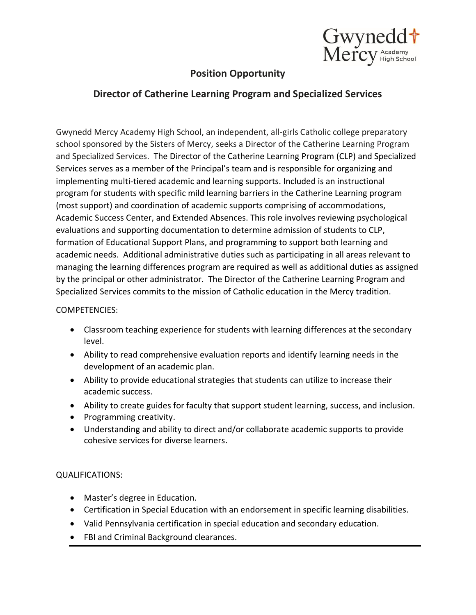

## **Position Opportunity**

## **Director of Catherine Learning Program and Specialized Services**

Gwynedd Mercy Academy High School, an independent, all-girls Catholic college preparatory school sponsored by the Sisters of Mercy, seeks a Director of the Catherine Learning Program and Specialized Services. The Director of the Catherine Learning Program (CLP) and Specialized Services serves as a member of the Principal's team and is responsible for organizing and implementing multi-tiered academic and learning supports. Included is an instructional program for students with specific mild learning barriers in the Catherine Learning program (most support) and coordination of academic supports comprising of accommodations, Academic Success Center, and Extended Absences. This role involves reviewing psychological evaluations and supporting documentation to determine admission of students to CLP, formation of Educational Support Plans, and programming to support both learning and academic needs. Additional administrative duties such as participating in all areas relevant to managing the learning differences program are required as well as additional duties as assigned by the principal or other administrator. The Director of the Catherine Learning Program and Specialized Services commits to the mission of Catholic education in the Mercy tradition.

## COMPETENCIES:

- Classroom teaching experience for students with learning differences at the secondary level.
- Ability to read comprehensive evaluation reports and identify learning needs in the development of an academic plan.
- Ability to provide educational strategies that students can utilize to increase their academic success.
- Ability to create guides for faculty that support student learning, success, and inclusion.
- Programming creativity.
- Understanding and ability to direct and/or collaborate academic supports to provide cohesive services for diverse learners.

## QUALIFICATIONS:

- Master's degree in Education.
- Certification in Special Education with an endorsement in specific learning disabilities.
- Valid Pennsylvania certification in special education and secondary education.
- FBI and Criminal Background clearances.